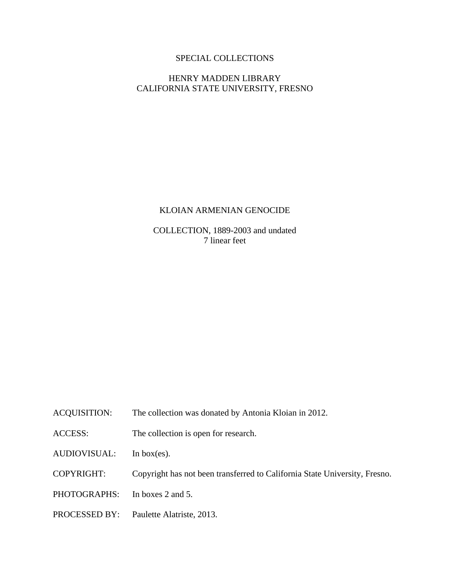# SPECIAL COLLECTIONS

# HENRY MADDEN LIBRARY CALIFORNIA STATE UNIVERSITY, FRESNO

# KLOIAN ARMENIAN GENOCIDE

COLLECTION, 1889-2003 and undated 7 linear feet

- ACQUISITION: The collection was donated by Antonia Kloian in 2012.
- ACCESS: The collection is open for research.
- AUDIOVISUAL: In box(es).
- COPYRIGHT: Copyright has not been transferred to California State University, Fresno.
- PHOTOGRAPHS: In boxes 2 and 5.
- PROCESSED BY: Paulette Alatriste, 2013.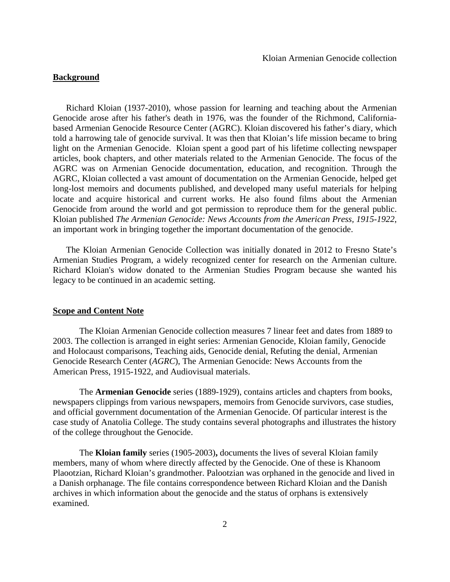## **Background**

Richard Kloian (1937-2010), whose passion for learning and teaching about the Armenian Genocide arose after his father's death in 1976, was the founder of the Richmond, Californiabased Armenian Genocide Resource Center (AGRC). Kloian discovered his father's diary, which told a harrowing tale of genocide survival. It was then that Kloian's life mission became to bring light on the Armenian Genocide. Kloian spent a good part of his lifetime collecting newspaper articles, book chapters, and other materials related to the Armenian Genocide. The focus of the AGRC was on Armenian Genocide documentation, education, and recognition. Through the AGRC, Kloian collected a vast amount of documentation on the Armenian Genocide, helped get long-lost memoirs and documents published, and developed many useful materials for helping locate and acquire historical and current works. He also found films about the Armenian Genocide from around the world and got permission to reproduce them for the general public. Kloian published *The Armenian Genocide: News Accounts from the American Press, 1915-1922*, an important work in bringing together the important documentation of the genocide.

The Kloian Armenian Genocide Collection was initially donated in 2012 to Fresno State's Armenian Studies Program, a widely recognized center for research on the Armenian culture. Richard Kloian's widow donated to the Armenian Studies Program because she wanted his legacy to be continued in an academic setting.

#### **Scope and Content Note**

The Kloian Armenian Genocide collection measures 7 linear feet and dates from 1889 to 2003. The collection is arranged in eight series: Armenian Genocide, Kloian family, Genocide and Holocaust comparisons, Teaching aids, Genocide denial, Refuting the denial, Armenian Genocide Research Center (*AGRC*), The Armenian Genocide: News Accounts from the American Press, 1915-1922, and Audiovisual materials.

The **Armenian Genocide** series (1889-1929), contains articles and chapters from books, newspapers clippings from various newspapers, memoirs from Genocide survivors, case studies, and official government documentation of the Armenian Genocide. Of particular interest is the case study of Anatolia College. The study contains several photographs and illustrates the history of the college throughout the Genocide.

The **Kloian family** series (1905-2003)**,** documents the lives of several Kloian family members, many of whom where directly affected by the Genocide. One of these is Khanoom Plaootzian, Richard Kloian's grandmother. Palootzian was orphaned in the genocide and lived in a Danish orphanage. The file contains correspondence between Richard Kloian and the Danish archives in which information about the genocide and the status of orphans is extensively examined.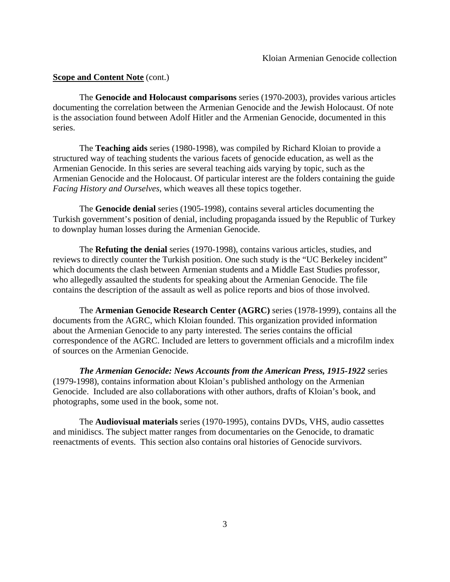## **<u>Scope and Content Note</u>** (cont.)

 The **Genocide and Holocaust comparisons** series (1970-2003), provides various articles documenting the correlation between the Armenian Genocide and the Jewish Holocaust. Of note is the association found between Adolf Hitler and the Armenian Genocide, documented in this series.

 The **Teaching aids** series (1980-1998), was compiled by Richard Kloian to provide a structured way of teaching students the various facets of genocide education, as well as the Armenian Genocide. In this series are several teaching aids varying by topic, such as the Armenian Genocide and the Holocaust. Of particular interest are the folders containing the guide *Facing History and Ourselves*, which weaves all these topics together.

 The **Genocide denial** series (1905-1998), contains several articles documenting the Turkish government's position of denial, including propaganda issued by the Republic of Turkey to downplay human losses during the Armenian Genocide.

 The **Refuting the denial** series (1970-1998), contains various articles, studies, and reviews to directly counter the Turkish position. One such study is the "UC Berkeley incident" which documents the clash between Armenian students and a Middle East Studies professor, who allegedly assaulted the students for speaking about the Armenian Genocide. The file contains the description of the assault as well as police reports and bios of those involved.

 The **Armenian Genocide Research Center (AGRC)** series (1978-1999), contains all the documents from the AGRC, which Kloian founded. This organization provided information about the Armenian Genocide to any party interested. The series contains the official correspondence of the AGRC. Included are letters to government officials and a microfilm index of sources on the Armenian Genocide.

*The Armenian Genocide: News Accounts from the American Press, 1915-1922* series (1979-1998), contains information about Kloian's published anthology on the Armenian Genocide. Included are also collaborations with other authors, drafts of Kloian's book, and photographs, some used in the book, some not.

 The **Audiovisual materials** series (1970-1995), contains DVDs, VHS, audio cassettes and minidiscs. The subject matter ranges from documentaries on the Genocide, to dramatic reenactments of events. This section also contains oral histories of Genocide survivors.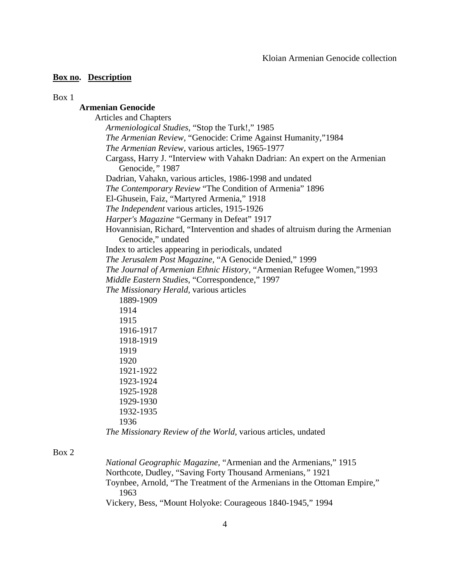Box 1

# **Armenian Genocide**

 Articles and Chapters *Armeniological Studies*, "Stop the Turk!," 1985 *The Armenian Review*, "Genocide: Crime Against Humanity,"1984 *The Armenian Review*, various articles, 1965-1977 Cargass, Harry J. "Interview with Vahakn Dadrian: An expert on the Armenian Genocide*,"* 1987 Dadrian, Vahakn, various articles, 1986-1998 and undated *The Contemporary Review* "The Condition of Armenia" 1896 El-Ghusein, Faiz, "Martyred Armenia," 1918 *The Independent* various articles, 1915-1926 *Harper's Magazine* "Germany in Defeat" 1917 Hovannisian, Richard, "Intervention and shades of altruism during the Armenian Genocide," undated Index to articles appearing in periodicals, undated *The Jerusalem Post Magazine,* "A Genocide Denied," 1999 *The Journal of Armenian Ethnic History,* "Armenian Refugee Women,"1993 *Middle Eastern Studies*, "Correspondence," 1997 *The Missionary Herald,* various articles 1889-1909 1914 1915 1916-1917 1918-1919 1919 1920 1921-1922 1923-1924 1925-1928 1929-1930 1932-1935 1936

*The Missionary Review of the World,* various articles, undated

## Box 2

 *National Geographic Magazine,* "Armenian and the Armenians," 1915 Northcote, Dudley, "Saving Forty Thousand Armenians*,"* 1921 Toynbee, Arnold, "The Treatment of the Armenians in the Ottoman Empire," 1963 Vickery, Bess, "Mount Holyoke: Courageous 1840-1945," 1994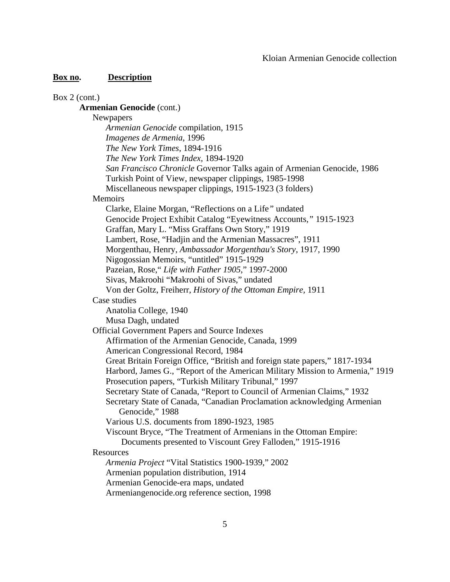| Box $2$ (cont.)                                                               |
|-------------------------------------------------------------------------------|
| <b>Armenian Genocide (cont.)</b>                                              |
| Newpapers                                                                     |
| Armenian Genocide compilation, 1915                                           |
| Imagenes de Armenia, 1996                                                     |
| The New York Times, 1894-1916                                                 |
| The New York Times Index, 1894-1920                                           |
| San Francisco Chronicle Governor Talks again of Armenian Genocide, 1986       |
| Turkish Point of View, newspaper clippings, 1985-1998                         |
| Miscellaneous newspaper clippings, 1915-1923 (3 folders)                      |
| Memoirs                                                                       |
| Clarke, Elaine Morgan, "Reflections on a Life" undated                        |
| Genocide Project Exhibit Catalog "Eyewitness Accounts," 1915-1923             |
| Graffan, Mary L. "Miss Graffans Own Story," 1919                              |
| Lambert, Rose, "Hadjin and the Armenian Massacres", 1911                      |
| Morgenthau, Henry, Ambassador Morgenthau's Story, 1917, 1990                  |
| Nigogossian Memoirs, "untitled" 1915-1929                                     |
| Pazeian, Rose," Life with Father 1905," 1997-2000                             |
| Sivas, Makroohi "Makroohi of Sivas," undated                                  |
| Von der Goltz, Freiherr, History of the Ottoman Empire, 1911                  |
| Case studies                                                                  |
| Anatolia College, 1940                                                        |
| Musa Dagh, undated                                                            |
| <b>Official Government Papers and Source Indexes</b>                          |
| Affirmation of the Armenian Genocide, Canada, 1999                            |
| American Congressional Record, 1984                                           |
| Great Britain Foreign Office, "British and foreign state papers," 1817-1934   |
| Harbord, James G., "Report of the American Military Mission to Armenia," 1919 |
| Prosecution papers, "Turkish Military Tribunal," 1997                         |
| Secretary State of Canada, "Report to Council of Armenian Claims," 1932       |
| Secretary State of Canada, "Canadian Proclamation acknowledging Armenian      |
| Genocide," 1988                                                               |
| Various U.S. documents from 1890-1923, 1985                                   |
| Viscount Bryce, "The Treatment of Armenians in the Ottoman Empire:            |
| Documents presented to Viscount Grey Falloden," 1915-1916                     |
| Resources                                                                     |
| Armenia Project "Vital Statistics 1900-1939," 2002                            |
| Armenian population distribution, 1914                                        |
| Armenian Genocide-era maps, undated                                           |
| Armeniangenocide.org reference section, 1998                                  |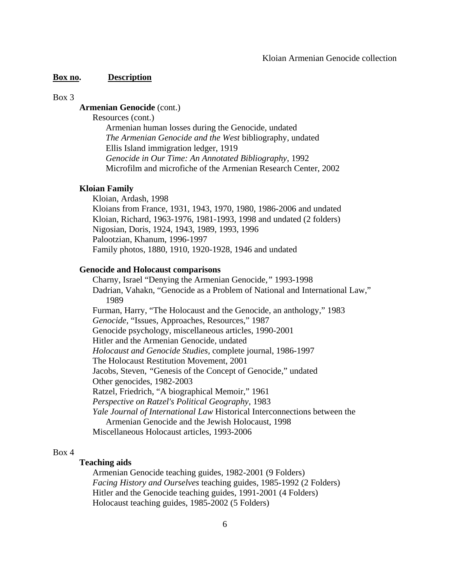#### Box 3

## **Armenian Genocide** (cont.)

Resources (cont.)

Armenian human losses during the Genocide, undated *The Armenian Genocide and the West* bibliography, undated Ellis Island immigration ledger, 1919 *Genocide in Our Time: An Annotated Bibliography*, 1992 Microfilm and microfiche of the Armenian Research Center, 2002

#### **Kloian Family**

Kloian, Ardash, 1998 Kloians from France, 1931, 1943, 1970, 1980, 1986-2006 and undated Kloian, Richard, 1963-1976, 1981-1993, 1998 and undated (2 folders) Nigosian, Doris, 1924, 1943, 1989, 1993, 1996 Palootzian, Khanum, 1996-1997 Family photos, 1880, 1910, 1920-1928, 1946 and undated

#### **Genocide and Holocaust comparisons**

 Charny, Israel "Denying the Armenian Genocide*,"* 1993-1998 Dadrian, Vahakn, "Genocide as a Problem of National and International Law,"1989 Furman, Harry, "The Holocaust and the Genocide, an anthology," 1983 *Genocide,* "Issues, Approaches, Resources," 1987 Genocide psychology, miscellaneous articles, 1990-2001 Hitler and the Armenian Genocide, undated *Holocaust and Genocide Studies,* complete journal, 1986-1997 The Holocaust Restitution Movement*,* 2001 Jacobs, Steven, *"*Genesis of the Concept of Genocide," undated Other genocides, 1982-2003 Ratzel, Friedrich, "A biographical Memoir," 1961 *Perspective on Ratzel's Political Geography*, 1983 *Yale Journal of International Law* Historical Interconnections between the Armenian Genocide and the Jewish Holocaust, 1998 Miscellaneous Holocaust articles, 1993-2006

### Box 4

## **Teaching aids**

Armenian Genocide teaching guides, 1982-2001 (9 Folders) *Facing History and Ourselves* teaching guides, 1985-1992 (2 Folders) Hitler and the Genocide teaching guides, 1991-2001 (4 Folders) Holocaust teaching guides, 1985-2002 (5 Folders)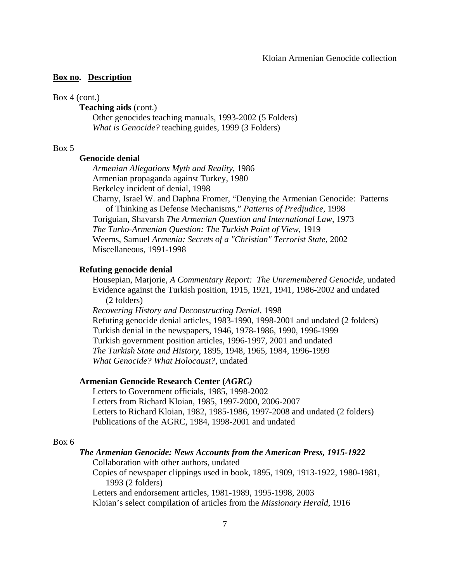### Box 4 (cont.)

## **Teaching aids** (cont.)

 Other genocides teaching manuals, 1993-2002 (5 Folders) *What is Genocide?* teaching guides, 1999 (3 Folders)

## Box 5

# **Genocide denial**

*Armenian Allegations Myth and Reality*, 1986 Armenian propaganda against Turkey, 1980 Berkeley incident of denial, 1998

 Charny, Israel W. and Daphna Fromer, "Denying the Armenian Genocide: Patterns of Thinking as Defense Mechanisms," *Patterns of Predjudice*, 1998

Toriguian, Shavarsh *The Armenian Question and International Law,* 1973

*The Turko-Armenian Question: The Turkish Point of View,* 1919

 Weems, Samuel *Armenia: Secrets of a "Christian" Terrorist State,* 2002 Miscellaneous, 1991-1998

#### **Refuting genocide denial**

 Housepian, Marjorie, *A Commentary Report: The Unremembered Genocide*, undated Evidence against the Turkish position, 1915, 1921, 1941, 1986-2002 and undated (2 folders)

 *Recovering History and Deconstructing Denial*, 1998 Refuting genocide denial articles, 1983-1990, 1998-2001 and undated (2 folders) Turkish denial in the newspapers, 1946, 1978-1986, 1990, 1996-1999 Turkish government position articles, 1996-1997, 2001 and undated *The Turkish State and History*, 1895, 1948, 1965, 1984, 1996-1999 *What Genocide? What Holocaust?*, undated

## **Armenian Genocide Research Center (***AGRC)*

 Letters to Government officials, 1985, 1998-2002 Letters from Richard Kloian, 1985, 1997-2000, 2006-2007 Letters to Richard Kloian, 1982, 1985-1986, 1997-2008 and undated (2 folders) Publications of the AGRC, 1984, 1998-2001 and undated

#### Box 6

### *The Armenian Genocide: News Accounts from the American Press, 1915-1922*

Collaboration with other authors, undated

 Copies of newspaper clippings used in book, 1895, 1909, 1913-1922, 1980-1981, 1993 (2 folders)

Letters and endorsement articles, 1981-1989, 1995-1998, 2003

Kloian's select compilation of articles from the *Missionary Herald*, 1916